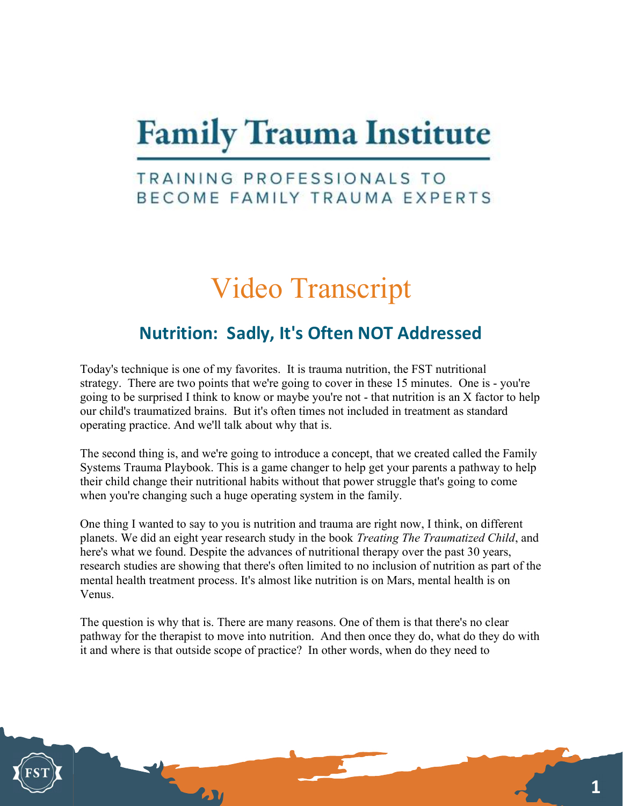# **Family Trauma Institute**

### TRAINING PROFESSIONALS TO BECOME FAMILY TRAUMA EXPERTS

# Video Transcript

## Nutrition: Sadly, It's Often NOT Addressed

Today's technique is one of my favorites. It is trauma nutrition, the FST nutritional strategy. There are two points that we're going to cover in these 15 minutes. One is - you're going to be surprised I think to know or maybe you're not - that nutrition is an X factor to help our child's traumatized brains. But it's often times not included in treatment as standard operating practice. And we'll talk about why that is.

The second thing is, and we're going to introduce a concept, that we created called the Family Systems Trauma Playbook. This is a game changer to help get your parents a pathway to help their child change their nutritional habits without that power struggle that's going to come when you're changing such a huge operating system in the family.

One thing I wanted to say to you is nutrition and trauma are right now, I think, on different planets. We did an eight year research study in the book Treating The Traumatized Child, and here's what we found. Despite the advances of nutritional therapy over the past 30 years, research studies are showing that there's often limited to no inclusion of nutrition as part of the mental health treatment process. It's almost like nutrition is on Mars, mental health is on Venus.

The question is why that is. There are many reasons. One of them is that there's no clear pathway for the therapist to move into nutrition. And then once they do, what do they do with it and where is that outside scope of practice? In other words, when do they need to

 $\mathbf{L}\mathbf{M}$ 

1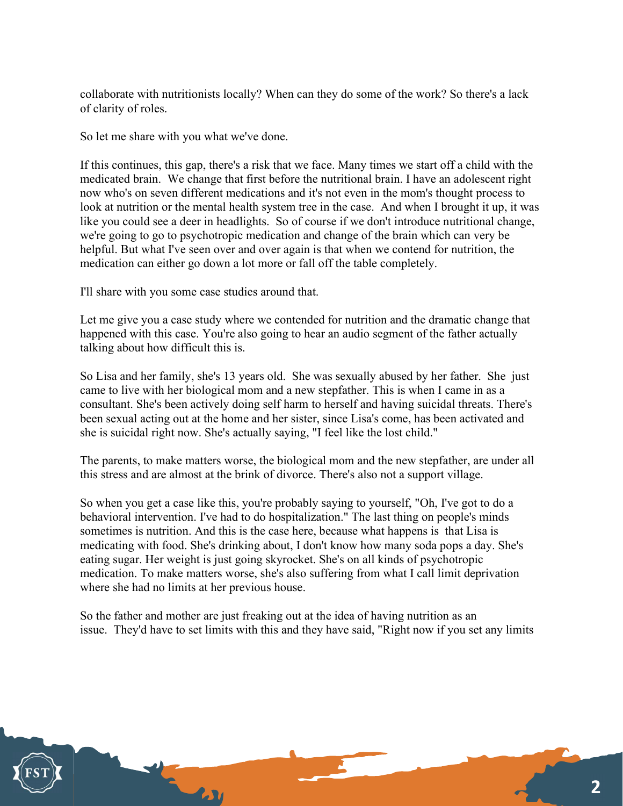collaborate with nutritionists locally? When can they do some of the work? So there's a lack of clarity of roles.

So let me share with you what we've done.

If this continues, this gap, there's a risk that we face. Many times we start off a child with the medicated brain. We change that first before the nutritional brain. I have an adolescent right now who's on seven different medications and it's not even in the mom's thought process to look at nutrition or the mental health system tree in the case. And when I brought it up, it was like you could see a deer in headlights. So of course if we don't introduce nutritional change, we're going to go to psychotropic medication and change of the brain which can very be helpful. But what I've seen over and over again is that when we contend for nutrition, the medication can either go down a lot more or fall off the table completely.

I'll share with you some case studies around that.

Let me give you a case study where we contended for nutrition and the dramatic change that happened with this case. You're also going to hear an audio segment of the father actually talking about how difficult this is.

So Lisa and her family, she's 13 years old. She was sexually abused by her father. She just came to live with her biological mom and a new stepfather. This is when I came in as a consultant. She's been actively doing self harm to herself and having suicidal threats. There's been sexual acting out at the home and her sister, since Lisa's come, has been activated and she is suicidal right now. She's actually saying, "I feel like the lost child."

The parents, to make matters worse, the biological mom and the new stepfather, are under all this stress and are almost at the brink of divorce. There's also not a support village.

So when you get a case like this, you're probably saying to yourself, "Oh, I've got to do a behavioral intervention. I've had to do hospitalization." The last thing on people's minds sometimes is nutrition. And this is the case here, because what happens is that Lisa is medicating with food. She's drinking about, I don't know how many soda pops a day. She's eating sugar. Her weight is just going skyrocket. She's on all kinds of psychotropic medication. To make matters worse, she's also suffering from what I call limit deprivation where she had no limits at her previous house.

So the father and mother are just freaking out at the idea of having nutrition as an issue. They'd have to set limits with this and they have said, "Right now if you set any limits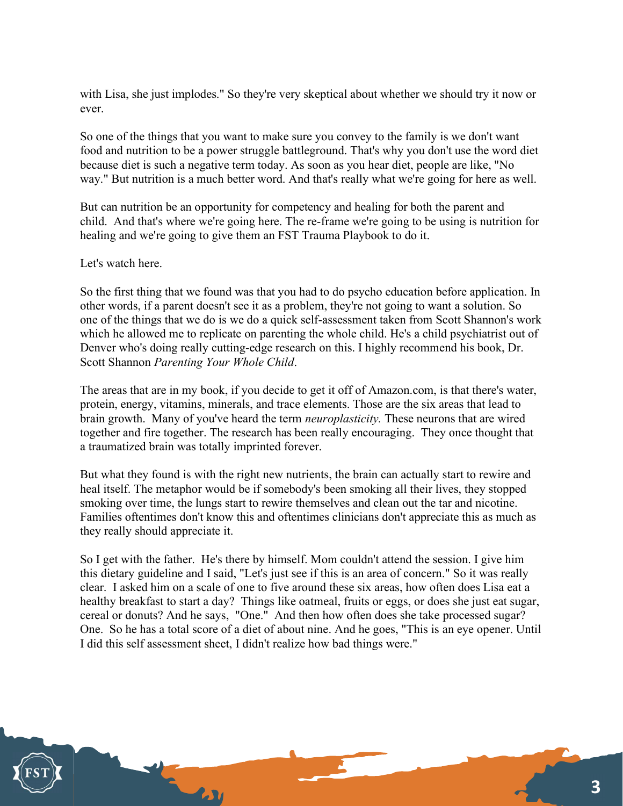with Lisa, she just implodes." So they're very skeptical about whether we should try it now or ever.

So one of the things that you want to make sure you convey to the family is we don't want food and nutrition to be a power struggle battleground. That's why you don't use the word diet because diet is such a negative term today. As soon as you hear diet, people are like, "No way." But nutrition is a much better word. And that's really what we're going for here as well.

But can nutrition be an opportunity for competency and healing for both the parent and child. And that's where we're going here. The re-frame we're going to be using is nutrition for healing and we're going to give them an FST Trauma Playbook to do it.

#### Let's watch here.

So the first thing that we found was that you had to do psycho education before application. In other words, if a parent doesn't see it as a problem, they're not going to want a solution. So one of the things that we do is we do a quick self-assessment taken from Scott Shannon's work which he allowed me to replicate on parenting the whole child. He's a child psychiatrist out of Denver who's doing really cutting-edge research on this. I highly recommend his book, Dr. Scott Shannon Parenting Your Whole Child.

The areas that are in my book, if you decide to get it off of Amazon.com, is that there's water, protein, energy, vitamins, minerals, and trace elements. Those are the six areas that lead to brain growth. Many of you've heard the term *neuroplasticity*. These neurons that are wired together and fire together. The research has been really encouraging. They once thought that a traumatized brain was totally imprinted forever.

But what they found is with the right new nutrients, the brain can actually start to rewire and heal itself. The metaphor would be if somebody's been smoking all their lives, they stopped smoking over time, the lungs start to rewire themselves and clean out the tar and nicotine. Families oftentimes don't know this and oftentimes clinicians don't appreciate this as much as they really should appreciate it.

So I get with the father. He's there by himself. Mom couldn't attend the session. I give him this dietary guideline and I said, "Let's just see if this is an area of concern." So it was really clear. I asked him on a scale of one to five around these six areas, how often does Lisa eat a healthy breakfast to start a day? Things like oatmeal, fruits or eggs, or does she just eat sugar, cereal or donuts? And he says, "One." And then how often does she take processed sugar? One. So he has a total score of a diet of about nine. And he goes, "This is an eye opener. Until I did this self assessment sheet, I didn't realize how bad things were."

**2.JV**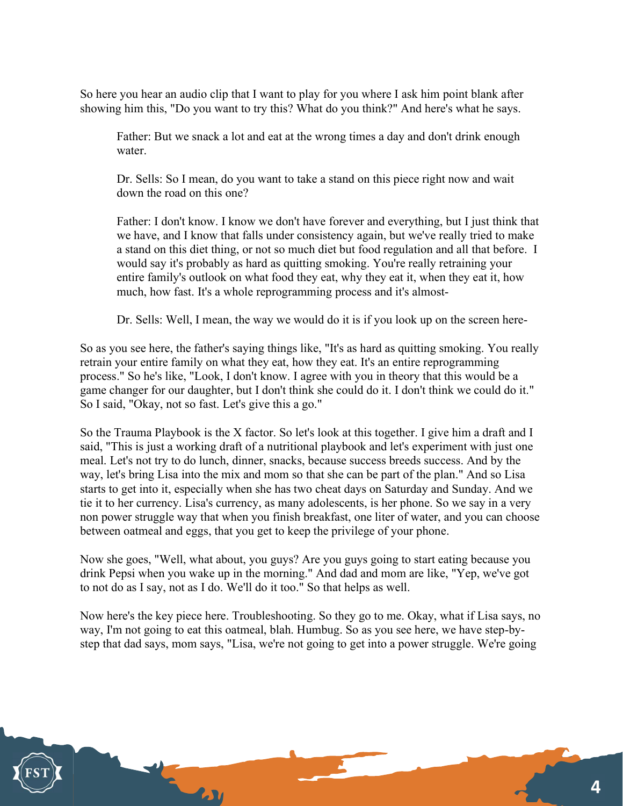So here you hear an audio clip that I want to play for you where I ask him point blank after showing him this, "Do you want to try this? What do you think?" And here's what he says.

Father: But we snack a lot and eat at the wrong times a day and don't drink enough water.

Dr. Sells: So I mean, do you want to take a stand on this piece right now and wait down the road on this one?

Father: I don't know. I know we don't have forever and everything, but I just think that we have, and I know that falls under consistency again, but we've really tried to make a stand on this diet thing, or not so much diet but food regulation and all that before. I would say it's probably as hard as quitting smoking. You're really retraining your entire family's outlook on what food they eat, why they eat it, when they eat it, how much, how fast. It's a whole reprogramming process and it's almost-

Dr. Sells: Well, I mean, the way we would do it is if you look up on the screen here-

So as you see here, the father's saying things like, "It's as hard as quitting smoking. You really retrain your entire family on what they eat, how they eat. It's an entire reprogramming process." So he's like, "Look, I don't know. I agree with you in theory that this would be a game changer for our daughter, but I don't think she could do it. I don't think we could do it." So I said, "Okay, not so fast. Let's give this a go."

So the Trauma Playbook is the X factor. So let's look at this together. I give him a draft and I said, "This is just a working draft of a nutritional playbook and let's experiment with just one meal. Let's not try to do lunch, dinner, snacks, because success breeds success. And by the way, let's bring Lisa into the mix and mom so that she can be part of the plan." And so Lisa starts to get into it, especially when she has two cheat days on Saturday and Sunday. And we tie it to her currency. Lisa's currency, as many adolescents, is her phone. So we say in a very non power struggle way that when you finish breakfast, one liter of water, and you can choose between oatmeal and eggs, that you get to keep the privilege of your phone.

Now she goes, "Well, what about, you guys? Are you guys going to start eating because you drink Pepsi when you wake up in the morning." And dad and mom are like, "Yep, we've got to not do as I say, not as I do. We'll do it too." So that helps as well.

Now here's the key piece here. Troubleshooting. So they go to me. Okay, what if Lisa says, no way, I'm not going to eat this oatmeal, blah. Humbug. So as you see here, we have step-bystep that dad says, mom says, "Lisa, we're not going to get into a power struggle. We're going